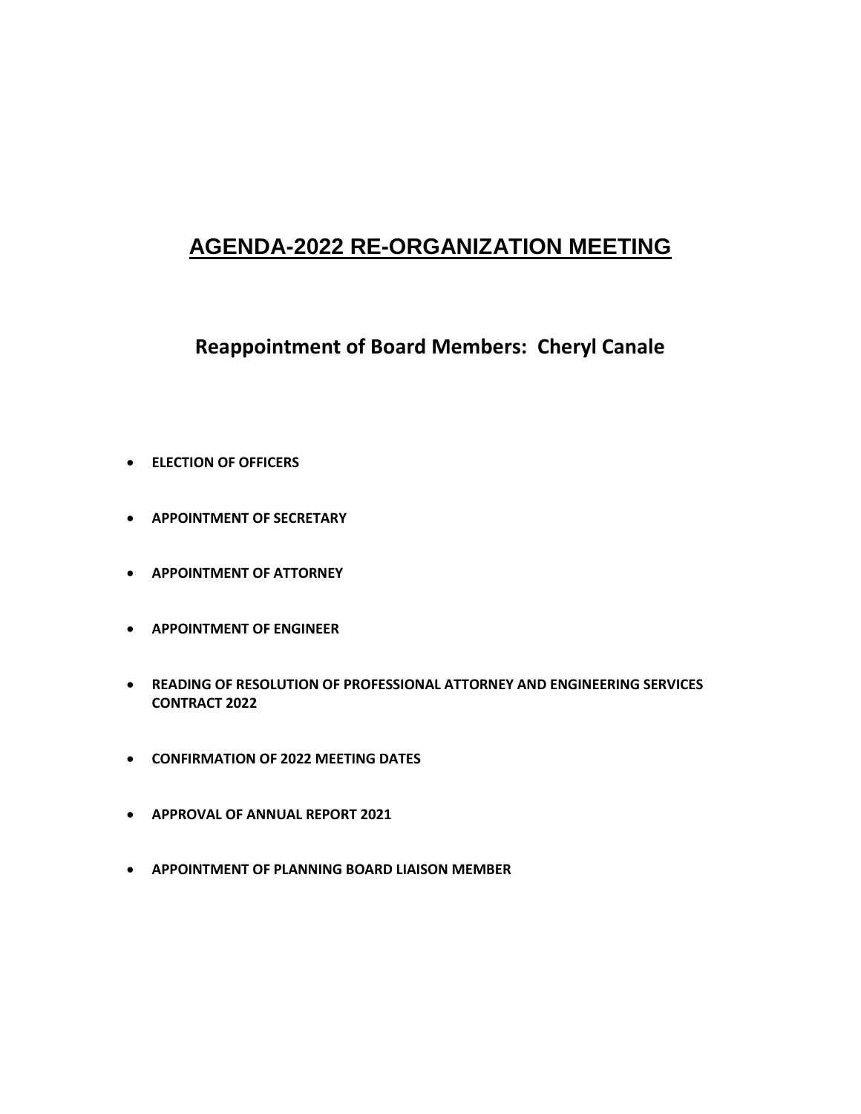# **AGENDA-2022 RE-ORGANIZATION MEETING**

## **Reappointment of Board Members: Cheryl Canale**

- **ELECTION OF OFFICERS**
- **APPOINTMENT OF SECRETARY**
- **APPOINTMENT OF ATTORNEY**
- **APPOINTMENT OF ENGINEER**
- **READING OF RESOLUTION OF PROFESSIONAL ATTORNEY AND ENGINEERING SERVICES CONTRACT 2022**
- **CONFIRMATION OF 2022 MEETING DATES**
- **APPROVAL OF ANNUAL REPORT 2021**
- **APPOINTMENT OF PLANNING BOARD LIAISON MEMBER**